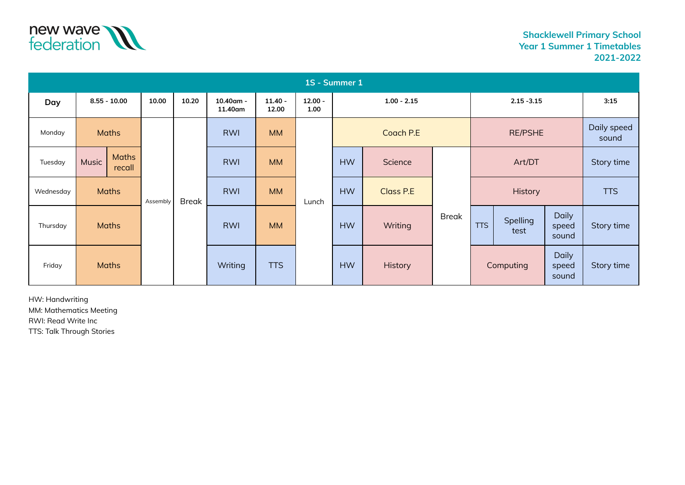

| 1S - Summer 1 |                |                 |          |              |                      |                    |                   |               |           |                |               |                  |                                |            |
|---------------|----------------|-----------------|----------|--------------|----------------------|--------------------|-------------------|---------------|-----------|----------------|---------------|------------------|--------------------------------|------------|
| Day           | $8.55 - 10.00$ |                 | 10.00    | 10.20        | 10.40am -<br>11.40am | $11.40 -$<br>12.00 | $12.00 -$<br>1.00 | $1.00 - 2.15$ |           |                | $2.15 - 3.15$ |                  |                                | 3:15       |
| Monday        | <b>Maths</b>   |                 |          |              | <b>RWI</b>           | <b>MM</b>          |                   |               |           | <b>RE/PSHE</b> |               |                  | Daily speed<br>sound           |            |
| Tuesday       | <b>Music</b>   | Maths<br>recall |          |              | <b>RWI</b>           | <b>MM</b>          |                   | <b>HW</b>     | Science   |                | Art/DT        |                  |                                | Story time |
| Wednesday     | <b>Maths</b>   |                 | Assembly | <b>Break</b> | <b>RWI</b>           | <b>MM</b>          | Lunch             | <b>HW</b>     | Class P.E | <b>Break</b>   |               | History          | <b>TTS</b>                     |            |
| Thursday      | <b>Maths</b>   |                 |          |              | <b>RWI</b>           | <b>MM</b>          |                   | <b>HW</b>     | Writing   |                | <b>TTS</b>    | Spelling<br>test | <b>Daily</b><br>speed<br>sound | Story time |
| Friday        | <b>Maths</b>   |                 |          |              | Writing              | <b>TTS</b>         |                   | <b>HW</b>     | History   |                |               | Computing        | <b>Daily</b><br>speed<br>sound | Story time |

HW: Handwriting MM: Mathematics Meeting RWI: Read Write Inc

TTS: Talk Through Stories